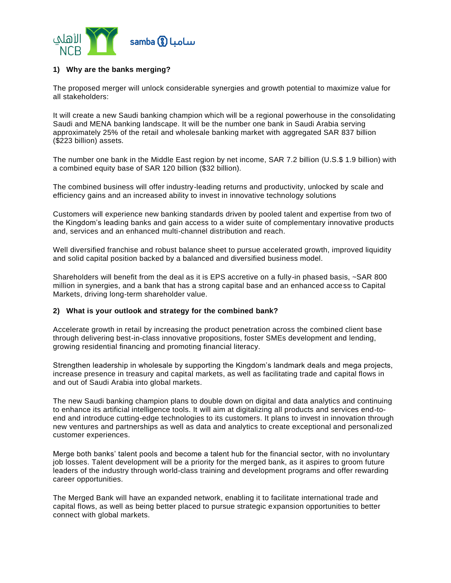

# **1) Why are the banks merging?**

The proposed merger will unlock considerable synergies and growth potential to maximize value for all stakeholders:

It will create a new Saudi banking champion which will be a regional powerhouse in the consolidating Saudi and MENA banking landscape. It will be the number one bank in Saudi Arabia serving approximately 25% of the retail and wholesale banking market with aggregated SAR 837 billion (\$223 billion) assets.

The number one bank in the Middle East region by net income, SAR 7.2 billion (U.S.\$ 1.9 billion) with a combined equity base of SAR 120 billion (\$32 billion).

The combined business will offer industry-leading returns and productivity, unlocked by scale and efficiency gains and an increased ability to invest in innovative technology solutions

Customers will experience new banking standards driven by pooled talent and expertise from two of the Kingdom's leading banks and gain access to a wider suite of complementary innovative products and, services and an enhanced multi-channel distribution and reach.

Well diversified franchise and robust balance sheet to pursue accelerated growth, improved liquidity and solid capital position backed by a balanced and diversified business model.

Shareholders will benefit from the deal as it is EPS accretive on a fully-in phased basis, ~SAR 800 million in synergies, and a bank that has a strong capital base and an enhanced access to Capital Markets, driving long-term shareholder value.

#### **2) What is your outlook and strategy for the combined bank?**

Accelerate growth in retail by increasing the product penetration across the combined client base through delivering best-in-class innovative propositions, foster SMEs development and lending, growing residential financing and promoting financial literacy.

Strengthen leadership in wholesale by supporting the Kingdom's landmark deals and mega projects, increase presence in treasury and capital markets, as well as facilitating trade and capital flows in and out of Saudi Arabia into global markets.

The new Saudi banking champion plans to double down on digital and data analytics and continuing to enhance its artificial intelligence tools. It will aim at digitalizing all products and services end-toend and introduce cutting-edge technologies to its customers. It plans to invest in innovation through new ventures and partnerships as well as data and analytics to create exceptional and personali zed customer experiences.

Merge both banks' talent pools and become a talent hub for the financial sector, with no involuntary job losses. Talent development will be a priority for the merged bank, as it aspires to groom future leaders of the industry through world-class training and development programs and offer rewarding career opportunities.

The Merged Bank will have an expanded network, enabling it to facilitate international trade and capital flows, as well as being better placed to pursue strategic expansion opportunities to better connect with global markets.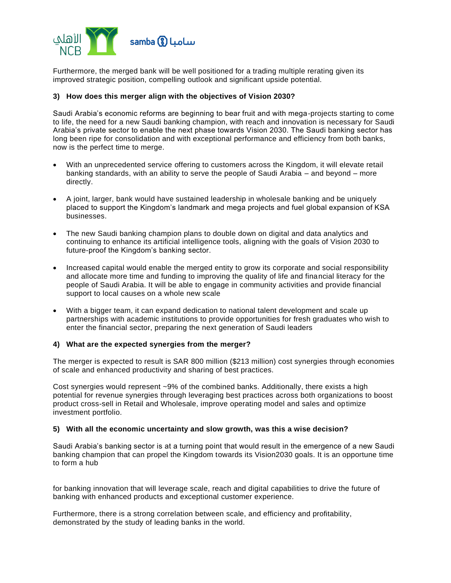

Furthermore, the merged bank will be well positioned for a trading multiple rerating given its improved strategic position, compelling outlook and significant upside potential.

### **3) How does this merger align with the objectives of Vision 2030?**

Saudi Arabia's economic reforms are beginning to bear fruit and with mega-projects starting to come to life, the need for a new Saudi banking champion, with reach and innovation is necessary for Saudi Arabia's private sector to enable the next phase towards Vision 2030. The Saudi banking sector has long been ripe for consolidation and with exceptional performance and efficiency from both banks, now is the perfect time to merge.

- With an unprecedented service offering to customers across the Kingdom, it will elevate retail banking standards, with an ability to serve the people of Saudi Arabia – and beyond – more directly.
- A joint, larger, bank would have sustained leadership in wholesale banking and be uniquely placed to support the Kingdom's landmark and mega projects and fuel global expansion of KSA businesses.
- The new Saudi banking champion plans to double down on digital and data analytics and continuing to enhance its artificial intelligence tools, aligning with the goals of Vision 2030 to future-proof the Kingdom's banking sector.
- Increased capital would enable the merged entity to grow its corporate and social responsibility and allocate more time and funding to improving the quality of life and financial literacy for the people of Saudi Arabia. It will be able to engage in community activities and provide financial support to local causes on a whole new scale
- With a bigger team, it can expand dedication to national talent development and scale up partnerships with academic institutions to provide opportunities for fresh graduates who wish to enter the financial sector, preparing the next generation of Saudi leaders

### **4) What are the expected synergies from the merger?**

The merger is expected to result is SAR 800 million (\$213 million) cost synergies through economies of scale and enhanced productivity and sharing of best practices.

Cost synergies would represent ~9% of the combined banks. Additionally, there exists a high potential for revenue synergies through leveraging best practices across both organizations to boost product cross-sell in Retail and Wholesale, improve operating model and sales and optimize investment portfolio.

#### **5) With all the economic uncertainty and slow growth, was this a wise decision?**

Saudi Arabia's banking sector is at a turning point that would result in the emergence of a new Saudi banking champion that can propel the Kingdom towards its Vision2030 goals. It is an opportune time to form a hub

for banking innovation that will leverage scale, reach and digital capabilities to drive the future of banking with enhanced products and exceptional customer experience.

Furthermore, there is a strong correlation between scale, and efficiency and profitability, demonstrated by the study of leading banks in the world.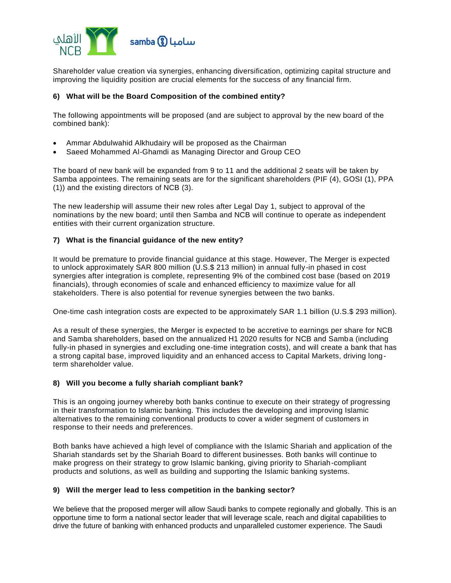

Shareholder value creation via synergies, enhancing diversification, optimizing capital structure and improving the liquidity position are crucial elements for the success of any financial firm.

# **6) What will be the Board Composition of the combined entity?**

The following appointments will be proposed (and are subject to approval by the new board of the combined bank):

- Ammar Abdulwahid Alkhudairy will be proposed as the Chairman
- Saeed Mohammed Al-Ghamdi as Managing Director and Group CEO

The board of new bank will be expanded from 9 to 11 and the additional 2 seats will be taken by Samba appointees. The remaining seats are for the significant shareholders (PIF (4), GOSI (1), PPA (1)) and the existing directors of NCB (3).

The new leadership will assume their new roles after Legal Day 1, subject to approval of the nominations by the new board; until then Samba and NCB will continue to operate as independent entities with their current organization structure.

## **7) What is the financial guidance of the new entity?**

It would be premature to provide financial guidance at this stage. However, The Merger is expected to unlock approximately SAR 800 million (U.S.\$ 213 million) in annual fully-in phased in cost synergies after integration is complete, representing 9% of the combined cost base (based on 2019 financials), through economies of scale and enhanced efficiency to maximize value for all stakeholders. There is also potential for revenue synergies between the two banks.

One-time cash integration costs are expected to be approximately SAR 1.1 billion (U.S.\$ 293 million).

As a result of these synergies, the Merger is expected to be accretive to earnings per share for NCB and Samba shareholders, based on the annualized H1 2020 results for NCB and Samba (including fully-in phased in synergies and excluding one-time integration costs), and will create a bank that has a strong capital base, improved liquidity and an enhanced access to Capital Markets, driving longterm shareholder value.

#### **8) Will you become a fully shariah compliant bank?**

This is an ongoing journey whereby both banks continue to execute on their strategy of progressing in their transformation to Islamic banking. This includes the developing and improving Islamic alternatives to the remaining conventional products to cover a wider segment of customers in response to their needs and preferences.

Both banks have achieved a high level of compliance with the Islamic Shariah and application of the Shariah standards set by the Shariah Board to different businesses. Both banks will continue to make progress on their strategy to grow Islamic banking, giving priority to Shariah-compliant products and solutions, as well as building and supporting the Islamic banking systems.

# **9) Will the merger lead to less competition in the banking sector?**

We believe that the proposed merger will allow Saudi banks to compete regionally and globally. This is an opportune time to form a national sector leader that will leverage scale, reach and digital capabilities to drive the future of banking with enhanced products and unparalleled customer experience. The Saudi